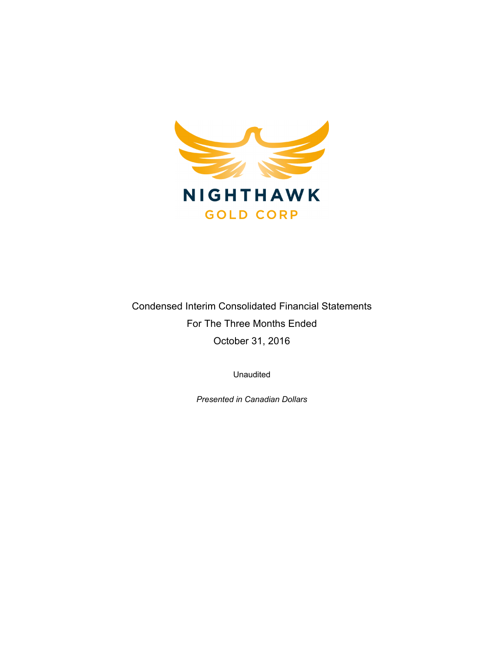

Condensed Interim Consolidated Financial Statements For The Three Months Ended October 31, 2016

Unaudited

*Presented in Canadian Dollars*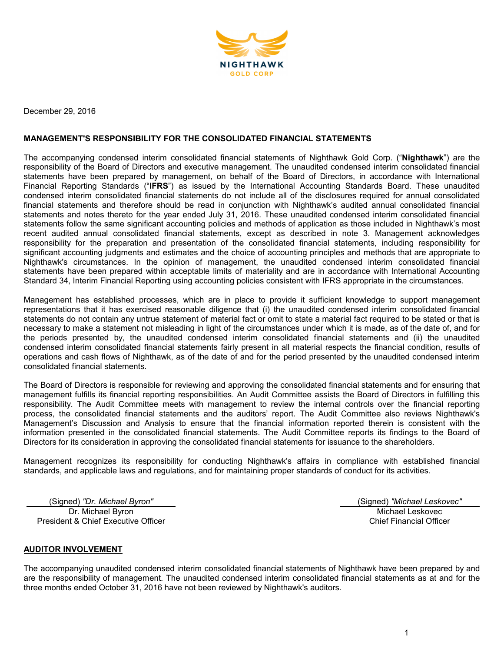

December 29, 2016

### **MANAGEMENT'S RESPONSIBILITY FOR THE CONSOLIDATED FINANCIAL STATEMENTS**

The accompanying condensed interim consolidated financial statements of Nighthawk Gold Corp. ("**Nighthawk**") are the responsibility of the Board of Directors and executive management. The unaudited condensed interim consolidated financial statements have been prepared by management, on behalf of the Board of Directors, in accordance with International Financial Reporting Standards ("**IFRS**") as issued by the International Accounting Standards Board. These unaudited condensed interim consolidated financial statements do not include all of the disclosures required for annual consolidated financial statements and therefore should be read in conjunction with Nighthawk's audited annual consolidated financial statements and notes thereto for the year ended July 31, 2016. These unaudited condensed interim consolidated financial statements follow the same significant accounting policies and methods of application as those included in Nighthawk's most recent audited annual consolidated financial statements, except as described in note 3. Management acknowledges responsibility for the preparation and presentation of the consolidated financial statements, including responsibility for significant accounting judgments and estimates and the choice of accounting principles and methods that are appropriate to Nighthawk's circumstances. In the opinion of management, the unaudited condensed interim consolidated financial statements have been prepared within acceptable limits of materiality and are in accordance with International Accounting Standard 34, Interim Financial Reporting using accounting policies consistent with IFRS appropriate in the circumstances.

Management has established processes, which are in place to provide it sufficient knowledge to support management representations that it has exercised reasonable diligence that (i) the unaudited condensed interim consolidated financial statements do not contain any untrue statement of material fact or omit to state a material fact required to be stated or that is necessary to make a statement not misleading in light of the circumstances under which it is made, as of the date of, and for the periods presented by, the unaudited condensed interim consolidated financial statements and (ii) the unaudited condensed interim consolidated financial statements fairly present in all material respects the financial condition, results of operations and cash flows of Nighthawk, as of the date of and for the period presented by the unaudited condensed interim consolidated financial statements.

The Board of Directors is responsible for reviewing and approving the consolidated financial statements and for ensuring that management fulfills its financial reporting responsibilities. An Audit Committee assists the Board of Directors in fulfilling this responsibility. The Audit Committee meets with management to review the internal controls over the financial reporting process, the consolidated financial statements and the auditors' report. The Audit Committee also reviews Nighthawk's Management's Discussion and Analysis to ensure that the financial information reported therein is consistent with the information presented in the consolidated financial statements. The Audit Committee reports its findings to the Board of Directors for its consideration in approving the consolidated financial statements for issuance to the shareholders.

Management recognizes its responsibility for conducting Nighthawk's affairs in compliance with established financial standards, and applicable laws and regulations, and for maintaining proper standards of conduct for its activities.

(Signed) *"Dr. Michael Byron"* (Signed) *"Michael Leskovec"* Dr. Michael Byron President & Chief Executive Officer

Michael Leskovec Chief Financial Officer

#### **AUDITOR INVOLVEMENT**

The accompanying unaudited condensed interim consolidated financial statements of Nighthawk have been prepared by and are the responsibility of management. The unaudited condensed interim consolidated financial statements as at and for the three months ended October 31, 2016 have not been reviewed by Nighthawk's auditors.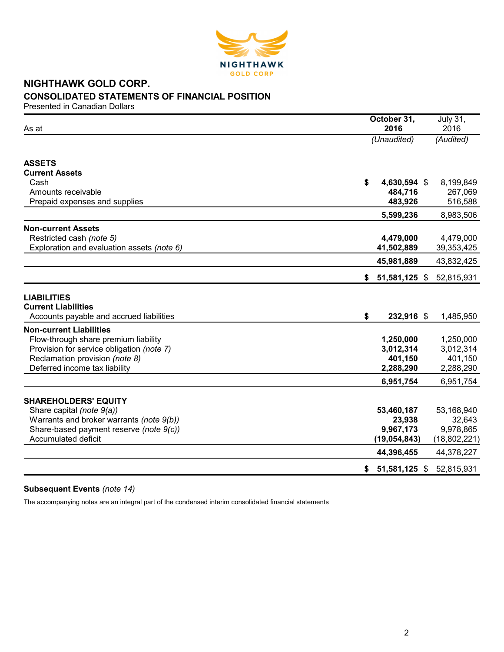

# **NIGHTHAWK GOLD CORP. CONSOLIDATED STATEMENTS OF FINANCIAL POSITION**

Presented in Canadian Dollars

| As at                                                                                        | October 31,<br>2016 | <b>July 31,</b><br>2016 |
|----------------------------------------------------------------------------------------------|---------------------|-------------------------|
|                                                                                              | (Unaudited)         | (Audited)               |
| <b>ASSETS</b>                                                                                |                     |                         |
| <b>Current Assets</b>                                                                        |                     |                         |
| Cash                                                                                         | \$<br>4,630,594 \$  | 8,199,849               |
| Amounts receivable                                                                           | 484,716             | 267,069                 |
| Prepaid expenses and supplies                                                                | 483,926             | 516,588                 |
|                                                                                              | 5,599,236           | 8,983,506               |
| <b>Non-current Assets</b>                                                                    |                     |                         |
| Restricted cash (note 5)                                                                     | 4,479,000           | 4,479,000               |
| Exploration and evaluation assets (note 6)                                                   | 41,502,889          | 39,353,425              |
|                                                                                              | 45,981,889          | 43,832,425              |
|                                                                                              | \$<br>51,581,125 \$ | 52,815,931              |
| <b>LIABILITIES</b><br><b>Current Liabilities</b><br>Accounts payable and accrued liabilities | \$<br>232,916 \$    | 1,485,950               |
| <b>Non-current Liabilities</b>                                                               |                     |                         |
| Flow-through share premium liability                                                         | 1,250,000           | 1,250,000               |
| Provision for service obligation (note 7)                                                    | 3,012,314           | 3,012,314               |
| Reclamation provision (note 8)                                                               | 401,150             | 401,150                 |
| Deferred income tax liability                                                                | 2,288,290           | 2,288,290               |
|                                                                                              | 6,951,754           | 6,951,754               |
| <b>SHAREHOLDERS' EQUITY</b>                                                                  |                     |                         |
| Share capital (note 9(a))                                                                    | 53,460,187          | 53,168,940              |
| Warrants and broker warrants (note 9(b))                                                     | 23,938              | 32,643                  |
| Share-based payment reserve (note 9(c))                                                      | 9,967,173           | 9,978,865               |
| <b>Accumulated deficit</b>                                                                   | (19, 054, 843)      | (18, 802, 221)          |
|                                                                                              | 44,396,455          | 44,378,227              |
|                                                                                              | \$<br>51,581,125 \$ | 52,815,931              |

# **Subsequent Events** *(note 14)*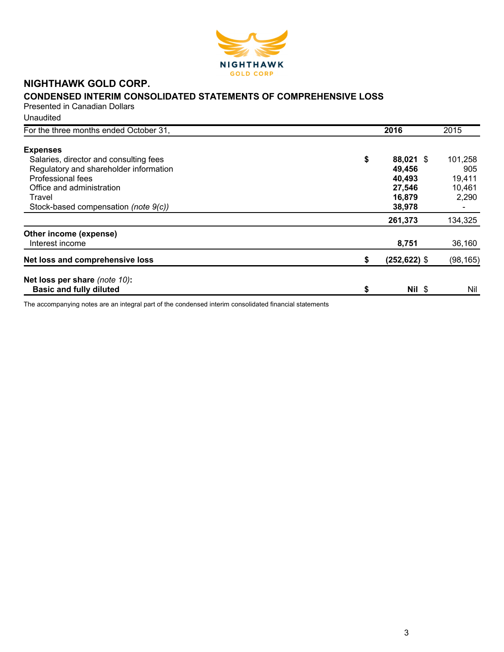

# **NIGHTHAWK GOLD CORP.**

# **CONDENSED INTERIM CONSOLIDATED STATEMENTS OF COMPREHENSIVE LOSS**

Presented in Canadian Dollars Unaudited

| For the three months ended October 31, | 2016                  | 2015      |
|----------------------------------------|-----------------------|-----------|
| <b>Expenses</b>                        |                       |           |
| Salaries, director and consulting fees | \$<br>88,021 \$       | 101,258   |
| Regulatory and shareholder information | 49,456                | 905       |
| Professional fees                      | 40,493                | 19,411    |
| Office and administration              | 27,546                | 10,461    |
| Travel                                 | 16,879                | 2,290     |
| Stock-based compensation (note 9(c))   | 38,978                |           |
|                                        | 261,373               | 134,325   |
| Other income (expense)                 |                       |           |
| Interest income                        | 8,751                 | 36,160    |
| Net loss and comprehensive loss        | \$<br>$(252, 622)$ \$ | (98, 165) |
| Net loss per share (note 10):          |                       |           |
| <b>Basic and fully diluted</b>         | \$<br>$Nil$ \$        | Nil       |
|                                        |                       |           |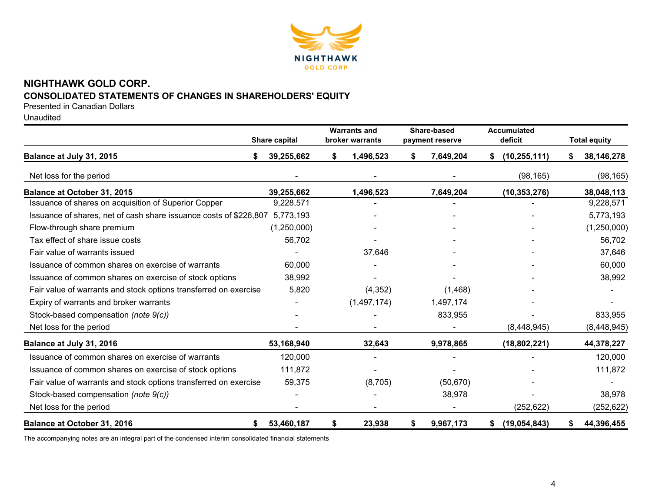

# **NIGHTHAWK GOLD CORP. CONSOLIDATED STATEMENTS OF CHANGES IN SHAREHOLDERS' EQUITY**

Presented in Canadian Dollars

Unaudited

|                                                                   | Share capital | <b>Warrants and</b><br>broker warrants | Share-based<br>payment reserve | <b>Accumulated</b><br>deficit | <b>Total equity</b> |
|-------------------------------------------------------------------|---------------|----------------------------------------|--------------------------------|-------------------------------|---------------------|
| Balance at July 31, 2015                                          | 39,255,662    | 1,496,523<br>S                         | 7,649,204<br>S                 | (10, 255, 111)<br>S.          | 38,146,278          |
| Net loss for the period                                           |               |                                        |                                | (98, 165)                     | (98, 165)           |
| Balance at October 31, 2015                                       | 39,255,662    | 1,496,523                              | 7,649,204                      | (10, 353, 276)                | 38,048,113          |
| Issuance of shares on acquisition of Superior Copper              | 9,228,571     |                                        |                                |                               | 9,228,571           |
| Issuance of shares, net of cash share issuance costs of \$226,807 | 5,773,193     |                                        |                                |                               | 5,773,193           |
| Flow-through share premium                                        | (1,250,000)   |                                        |                                |                               | (1,250,000)         |
| Tax effect of share issue costs                                   | 56,702        |                                        |                                |                               | 56,702              |
| Fair value of warrants issued                                     |               | 37,646                                 |                                |                               | 37,646              |
| Issuance of common shares on exercise of warrants                 | 60,000        |                                        |                                |                               | 60,000              |
| Issuance of common shares on exercise of stock options            | 38,992        |                                        |                                |                               | 38,992              |
| Fair value of warrants and stock options transferred on exercise  | 5,820         | (4,352)                                | (1,468)                        |                               |                     |
| Expiry of warrants and broker warrants                            |               | (1,497,174)                            | 1,497,174                      |                               |                     |
| Stock-based compensation (note 9(c))                              |               |                                        | 833,955                        |                               | 833,955             |
| Net loss for the period                                           |               |                                        |                                | (8,448,945)                   | (8, 448, 945)       |
| Balance at July 31, 2016                                          | 53,168,940    | 32,643                                 | 9,978,865                      | (18, 802, 221)                | 44,378,227          |
| Issuance of common shares on exercise of warrants                 | 120,000       |                                        |                                |                               | 120,000             |
| Issuance of common shares on exercise of stock options            | 111,872       |                                        |                                |                               | 111,872             |
| Fair value of warrants and stock options transferred on exercise  | 59,375        | (8,705)                                | (50, 670)                      |                               |                     |
| Stock-based compensation (note 9(c))                              |               |                                        | 38,978                         |                               | 38,978              |
| Net loss for the period                                           |               |                                        |                                | (252, 622)                    | (252, 622)          |
| <b>Balance at October 31, 2016</b><br>\$                          | 53,460,187    | \$<br>23,938                           | 9,967,173<br>\$                | (19,054,843)<br>\$            | 44,396,455<br>S.    |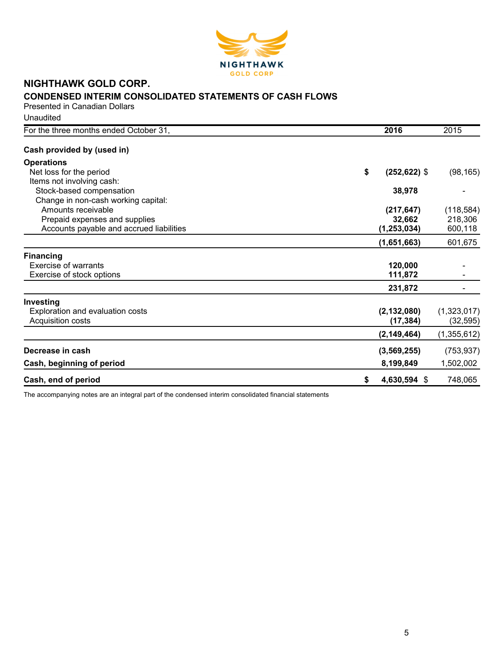

# **NIGHTHAWK GOLD CORP. CONDENSED INTERIM CONSOLIDATED STATEMENTS OF CASH FLOWS**

Presented in Canadian Dollars

**Unaudited** 

| For the three months ended October 31,   | 2016                  | 2015          |
|------------------------------------------|-----------------------|---------------|
| Cash provided by (used in)               |                       |               |
| <b>Operations</b>                        |                       |               |
| Net loss for the period                  | \$<br>$(252, 622)$ \$ | (98, 165)     |
| Items not involving cash:                |                       |               |
| Stock-based compensation                 | 38,978                |               |
| Change in non-cash working capital:      |                       |               |
| Amounts receivable                       | (217, 647)            | (118, 584)    |
| Prepaid expenses and supplies            | 32,662                | 218,306       |
| Accounts payable and accrued liabilities | (1, 253, 034)         | 600,118       |
|                                          | (1,651,663)           | 601,675       |
| <b>Financing</b>                         |                       |               |
| Exercise of warrants                     | 120,000               |               |
| Exercise of stock options                | 111,872               |               |
|                                          | 231,872               |               |
| Investing                                |                       |               |
| Exploration and evaluation costs         | (2, 132, 080)         | (1,323,017)   |
| Acquisition costs                        | (17, 384)             | (32, 595)     |
|                                          | (2, 149, 464)         | (1, 355, 612) |
| Decrease in cash                         | (3, 569, 255)         | (753, 937)    |
| Cash, beginning of period                | 8,199,849             | 1,502,002     |
| Cash, end of period                      | \$<br>4,630,594 \$    | 748,065       |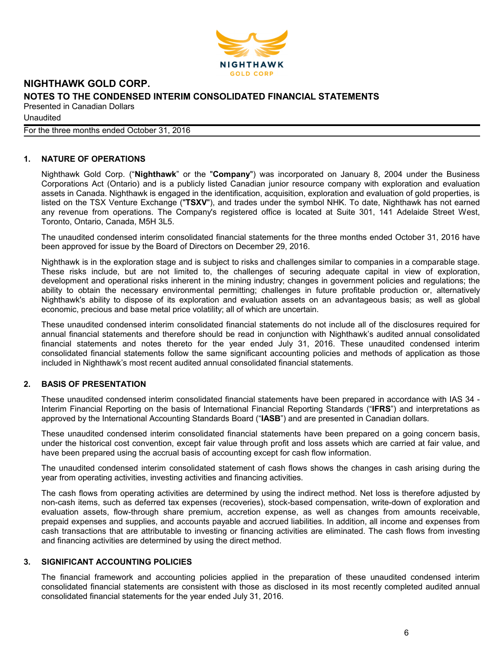

**Unaudited** 

For the three months ended October 31, 2016

# **1. NATURE OF OPERATIONS**

Nighthawk Gold Corp. ("**Nighthawk**" or the "**Company**") was incorporated on January 8, 2004 under the Business Corporations Act (Ontario) and is a publicly listed Canadian junior resource company with exploration and evaluation assets in Canada. Nighthawk is engaged in the identification, acquisition, exploration and evaluation of gold properties, is listed on the TSX Venture Exchange ("**TSXV**"), and trades under the symbol NHK. To date, Nighthawk has not earned any revenue from operations. The Company's registered office is located at Suite 301, 141 Adelaide Street West, Toronto, Ontario, Canada, M5H 3L5.

The unaudited condensed interim consolidated financial statements for the three months ended October 31, 2016 have been approved for issue by the Board of Directors on December 29, 2016.

Nighthawk is in the exploration stage and is subject to risks and challenges similar to companies in a comparable stage. These risks include, but are not limited to, the challenges of securing adequate capital in view of exploration, development and operational risks inherent in the mining industry; changes in government policies and regulations; the ability to obtain the necessary environmental permitting; challenges in future profitable production or, alternatively Nighthawk's ability to dispose of its exploration and evaluation assets on an advantageous basis; as well as global economic, precious and base metal price volatility; all of which are uncertain.

These unaudited condensed interim consolidated financial statements do not include all of the disclosures required for annual financial statements and therefore should be read in conjunction with Nighthawk's audited annual consolidated financial statements and notes thereto for the year ended July 31, 2016. These unaudited condensed interim consolidated financial statements follow the same significant accounting policies and methods of application as those included in Nighthawk's most recent audited annual consolidated financial statements.

# **2. BASIS OF PRESENTATION**

These unaudited condensed interim consolidated financial statements have been prepared in accordance with IAS 34 - Interim Financial Reporting on the basis of International Financial Reporting Standards ("**IFRS**") and interpretations as approved by the International Accounting Standards Board ("**IASB**") and are presented in Canadian dollars.

These unaudited condensed interim consolidated financial statements have been prepared on a going concern basis, under the historical cost convention, except fair value through profit and loss assets which are carried at fair value, and have been prepared using the accrual basis of accounting except for cash flow information.

The unaudited condensed interim consolidated statement of cash flows shows the changes in cash arising during the year from operating activities, investing activities and financing activities.

The cash flows from operating activities are determined by using the indirect method. Net loss is therefore adjusted by non-cash items, such as deferred tax expenses (recoveries), stock-based compensation, write-down of exploration and evaluation assets, flow-through share premium, accretion expense, as well as changes from amounts receivable, prepaid expenses and supplies, and accounts payable and accrued liabilities. In addition, all income and expenses from cash transactions that are attributable to investing or financing activities are eliminated. The cash flows from investing and financing activities are determined by using the direct method.

# **3. SIGNIFICANT ACCOUNTING POLICIES**

The financial framework and accounting policies applied in the preparation of these unaudited condensed interim consolidated financial statements are consistent with those as disclosed in its most recently completed audited annual consolidated financial statements for the year ended July 31, 2016.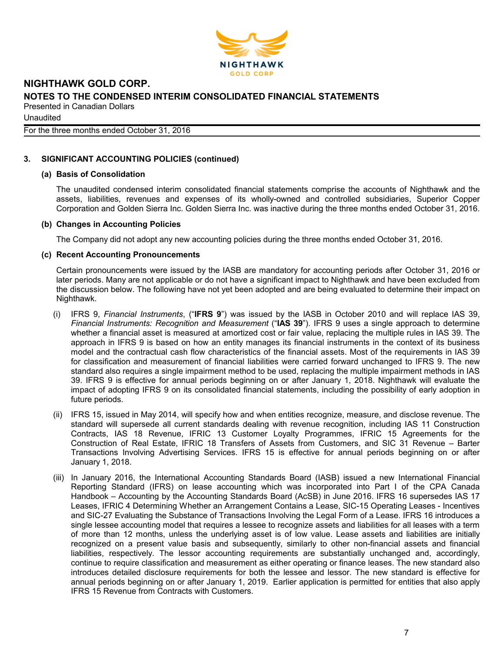

**Unaudited** 

For the three months ended October 31, 2016

# **3. SIGNIFICANT ACCOUNTING POLICIES (continued)**

#### **(a) Basis of Consolidation**

The unaudited condensed interim consolidated financial statements comprise the accounts of Nighthawk and the assets, liabilities, revenues and expenses of its wholly-owned and controlled subsidiaries, Superior Copper Corporation and Golden Sierra Inc. Golden Sierra Inc. was inactive during the three months ended October 31, 2016.

#### **(b) Changes in Accounting Policies**

The Company did not adopt any new accounting policies during the three months ended October 31, 2016.

#### **(c) Recent Accounting Pronouncements**

Certain pronouncements were issued by the IASB are mandatory for accounting periods after October 31, 2016 or later periods. Many are not applicable or do not have a significant impact to Nighthawk and have been excluded from the discussion below. The following have not yet been adopted and are being evaluated to determine their impact on Nighthawk.

- (i) IFRS 9, *Financial Instruments*, ("**IFRS 9**") was issued by the IASB in October 2010 and will replace IAS 39, *Financial Instruments: Recognition and Measurement* ("**IAS 39**"). IFRS 9 uses a single approach to determine whether a financial asset is measured at amortized cost or fair value, replacing the multiple rules in IAS 39. The approach in IFRS 9 is based on how an entity manages its financial instruments in the context of its business model and the contractual cash flow characteristics of the financial assets. Most of the requirements in IAS 39 for classification and measurement of financial liabilities were carried forward unchanged to IFRS 9. The new standard also requires a single impairment method to be used, replacing the multiple impairment methods in IAS 39. IFRS 9 is effective for annual periods beginning on or after January 1, 2018. Nighthawk will evaluate the impact of adopting IFRS 9 on its consolidated financial statements, including the possibility of early adoption in future periods.
- (ii) IFRS 15, issued in May 2014, will specify how and when entities recognize, measure, and disclose revenue. The standard will supersede all current standards dealing with revenue recognition, including IAS 11 Construction Contracts, IAS 18 Revenue, IFRIC 13 Customer Loyalty Programmes, IFRIC 15 Agreements for the Construction of Real Estate, IFRIC 18 Transfers of Assets from Customers, and SIC 31 Revenue – Barter Transactions Involving Advertising Services. IFRS 15 is effective for annual periods beginning on or after January 1, 2018.
- (iii) In January 2016, the International Accounting Standards Board (IASB) issued a new International Financial Reporting Standard (IFRS) on lease accounting which was incorporated into Part I of the CPA Canada Handbook – Accounting by the Accounting Standards Board (AcSB) in June 2016. IFRS 16 supersedes IAS 17 Leases, IFRIC 4 Determining Whether an Arrangement Contains a Lease, SIC-15 Operating Leases - Incentives and SIC-27 Evaluating the Substance of Transactions Involving the Legal Form of a Lease. IFRS 16 introduces a single lessee accounting model that requires a lessee to recognize assets and liabilities for all leases with a term of more than 12 months, unless the underlying asset is of low value. Lease assets and liabilities are initially recognized on a present value basis and subsequently, similarly to other non-financial assets and financial liabilities, respectively. The lessor accounting requirements are substantially unchanged and, accordingly, continue to require classification and measurement as either operating or finance leases. The new standard also introduces detailed disclosure requirements for both the lessee and lessor. The new standard is effective for annual periods beginning on or after January 1, 2019. Earlier application is permitted for entities that also apply IFRS 15 Revenue from Contracts with Customers.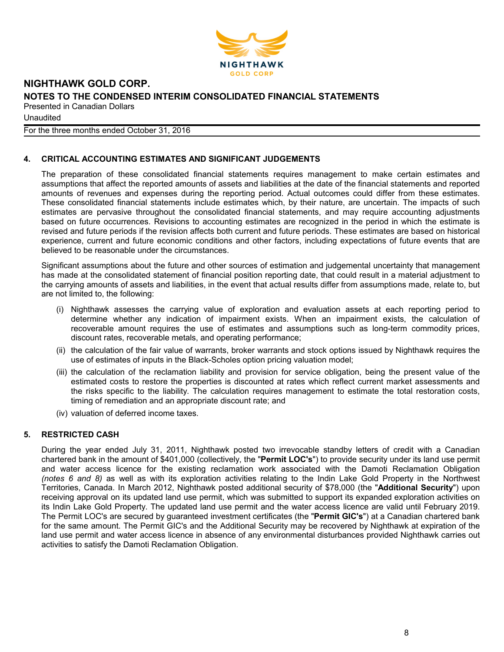

**Unaudited** 

For the three months ended October 31, 2016

# **4. CRITICAL ACCOUNTING ESTIMATES AND SIGNIFICANT JUDGEMENTS**

The preparation of these consolidated financial statements requires management to make certain estimates and assumptions that affect the reported amounts of assets and liabilities at the date of the financial statements and reported amounts of revenues and expenses during the reporting period. Actual outcomes could differ from these estimates. These consolidated financial statements include estimates which, by their nature, are uncertain. The impacts of such estimates are pervasive throughout the consolidated financial statements, and may require accounting adjustments based on future occurrences. Revisions to accounting estimates are recognized in the period in which the estimate is revised and future periods if the revision affects both current and future periods. These estimates are based on historical experience, current and future economic conditions and other factors, including expectations of future events that are believed to be reasonable under the circumstances.

Significant assumptions about the future and other sources of estimation and judgemental uncertainty that management has made at the consolidated statement of financial position reporting date, that could result in a material adjustment to the carrying amounts of assets and liabilities, in the event that actual results differ from assumptions made, relate to, but are not limited to, the following:

- (i) Nighthawk assesses the carrying value of exploration and evaluation assets at each reporting period to determine whether any indication of impairment exists. When an impairment exists, the calculation of recoverable amount requires the use of estimates and assumptions such as long-term commodity prices, discount rates, recoverable metals, and operating performance;
- (ii) the calculation of the fair value of warrants, broker warrants and stock options issued by Nighthawk requires the use of estimates of inputs in the Black-Scholes option pricing valuation model;
- (iii) the calculation of the reclamation liability and provision for service obligation, being the present value of the estimated costs to restore the properties is discounted at rates which reflect current market assessments and the risks specific to the liability. The calculation requires management to estimate the total restoration costs, timing of remediation and an appropriate discount rate; and
- (iv) valuation of deferred income taxes.

# **5. RESTRICTED CASH**

During the year ended July 31, 2011, Nighthawk posted two irrevocable standby letters of credit with a Canadian chartered bank in the amount of \$401,000 (collectively, the "**Permit LOC's**") to provide security under its land use permit and water access licence for the existing reclamation work associated with the Damoti Reclamation Obligation *(notes 6 and 8)* as well as with its exploration activities relating to the Indin Lake Gold Property in the Northwest Territories, Canada. In March 2012, Nighthawk posted additional security of \$78,000 (the "**Additional Security**") upon receiving approval on its updated land use permit, which was submitted to support its expanded exploration activities on its Indin Lake Gold Property. The updated land use permit and the water access licence are valid until February 2019. The Permit LOC's are secured by guaranteed investment certificates (the "**Permit GIC's**") at a Canadian chartered bank for the same amount. The Permit GIC's and the Additional Security may be recovered by Nighthawk at expiration of the land use permit and water access licence in absence of any environmental disturbances provided Nighthawk carries out activities to satisfy the Damoti Reclamation Obligation.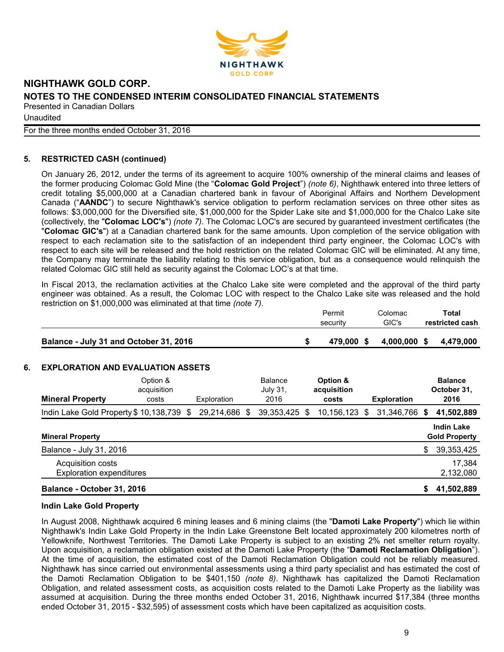

**Unaudited** 

For the three months ended October 31, 2016

# **5. RESTRICTED CASH (continued)**

On January 26, 2012, under the terms of its agreement to acquire 100% ownership of the mineral claims and leases of the former producing Colomac Gold Mine (the "**Colomac Gold Project**") *(note 6)*, Nighthawk entered into three letters of credit totaling \$5,000,000 at a Canadian chartered bank in favour of Aboriginal Affairs and Northern Development Canada ("**AANDC**") to secure Nighthawk's service obligation to perform reclamation services on three other sites as follows: \$3,000,000 for the Diversified site, \$1,000,000 for the Spider Lake site and \$1,000,000 for the Chalco Lake site (collectively, the "**Colomac LOC's**") *(note 7)*. The Colomac LOC's are secured by guaranteed investment certificates (the "**Colomac GIC's**") at a Canadian chartered bank for the same amounts. Upon completion of the service obligation with respect to each reclamation site to the satisfaction of an independent third party engineer, the Colomac LOC's with respect to each site will be released and the hold restriction on the related Colomac GIC will be eliminated. At any time, the Company may terminate the liability relating to this service obligation, but as a consequence would relinquish the related Colomac GIC still held as security against the Colomac LOC's at that time.

In Fiscal 2013, the reclamation activities at the Chalco Lake site were completed and the approval of the third party engineer was obtained. As a result, the Colomac LOC with respect to the Chalco Lake site was released and the hold restriction on \$1,000,000 was eliminated at that time *(note 7)*.

|                                        | Permit     | Colomac | <b>Total</b>           |
|----------------------------------------|------------|---------|------------------------|
|                                        | security   | GIC's   | restricted cash        |
|                                        |            |         |                        |
| Balance - July 31 and October 31, 2016 | 479,000 \$ |         | 4,000,000 \$ 4,479,000 |

# **6. EXPLORATION AND EVALUATION ASSETS**

| <b>Mineral Property</b>                              | Option &<br>acquisition<br>costs | Exploration |   | Balance<br>July 31,<br>2016 |   | Option &<br>acquisition<br>costs |   | <b>Exploration</b> |    | <b>Balance</b><br>October 31,<br>2016     |
|------------------------------------------------------|----------------------------------|-------------|---|-----------------------------|---|----------------------------------|---|--------------------|----|-------------------------------------------|
| Indin Lake Gold Property \$10,138,739 \$             |                                  | 29,214,686  | S | 39, 353, 425                | S | 10,156,123                       | S | 31,346,766         | S  | 41,502,889                                |
| <b>Mineral Property</b>                              |                                  |             |   |                             |   |                                  |   |                    |    | <b>Indin Lake</b><br><b>Gold Property</b> |
| Balance - July 31, 2016                              |                                  |             |   |                             |   |                                  |   |                    | \$ | 39,353,425                                |
| Acquisition costs<br><b>Exploration expenditures</b> |                                  |             |   |                             |   |                                  |   |                    |    | 17,384<br>2,132,080                       |
| Balance - October 31, 2016                           |                                  |             |   |                             |   |                                  |   |                    | \$ | 41,502,889                                |

#### **Indin Lake Gold Property**

In August 2008, Nighthawk acquired 6 mining leases and 6 mining claims (the "**Damoti Lake Property**") which lie within Nighthawk's Indin Lake Gold Property in the Indin Lake Greenstone Belt located approximately 200 kilometres north of Yellowknife, Northwest Territories. The Damoti Lake Property is subject to an existing 2% net smelter return royalty. Upon acquisition, a reclamation obligation existed at the Damoti Lake Property (the "**Damoti Reclamation Obligation**"). At the time of acquisition, the estimated cost of the Damoti Reclamation Obligation could not be reliably measured. Nighthawk has since carried out environmental assessments using a third party specialist and has estimated the cost of the Damoti Reclamation Obligation to be \$401,150 *(note 8)*. Nighthawk has capitalized the Damoti Reclamation Obligation, and related assessment costs, as acquisition costs related to the Damoti Lake Property as the liability was assumed at acquisition. During the three months ended October 31, 2016, Nighthawk incurred \$17,384 (three months ended October 31, 2015 - \$32,595) of assessment costs which have been capitalized as acquisition costs.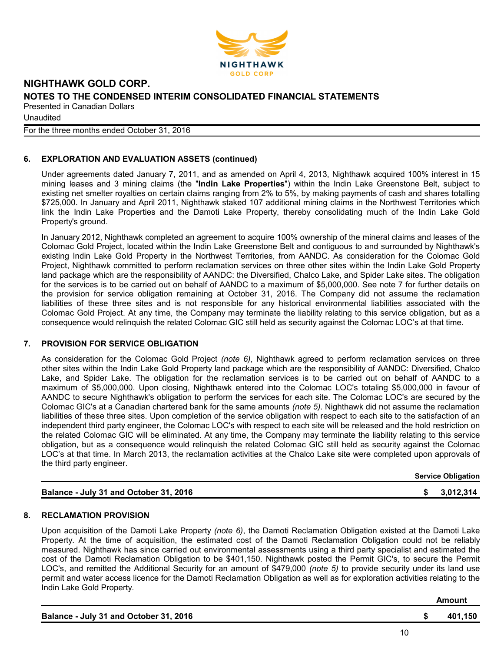

**Unaudited** 

For the three months ended October 31, 2016

# **6. EXPLORATION AND EVALUATION ASSETS (continued)**

Under agreements dated January 7, 2011, and as amended on April 4, 2013, Nighthawk acquired 100% interest in 15 mining leases and 3 mining claims (the "**Indin Lake Properties**") within the Indin Lake Greenstone Belt, subject to existing net smelter royalties on certain claims ranging from 2% to 5%, by making payments of cash and shares totalling \$725,000. In January and April 2011, Nighthawk staked 107 additional mining claims in the Northwest Territories which link the Indin Lake Properties and the Damoti Lake Property, thereby consolidating much of the Indin Lake Gold Property's ground.

In January 2012, Nighthawk completed an agreement to acquire 100% ownership of the mineral claims and leases of the Colomac Gold Project, located within the Indin Lake Greenstone Belt and contiguous to and surrounded by Nighthawk's existing Indin Lake Gold Property in the Northwest Territories, from AANDC. As consideration for the Colomac Gold Project, Nighthawk committed to perform reclamation services on three other sites within the Indin Lake Gold Property land package which are the responsibility of AANDC: the Diversified, Chalco Lake, and Spider Lake sites. The obligation for the services is to be carried out on behalf of AANDC to a maximum of \$5,000,000. See note 7 for further details on the provision for service obligation remaining at October 31, 2016. The Company did not assume the reclamation liabilities of these three sites and is not responsible for any historical environmental liabilities associated with the Colomac Gold Project. At any time, the Company may terminate the liability relating to this service obligation, but as a consequence would relinquish the related Colomac GIC still held as security against the Colomac LOC's at that time.

#### **7. PROVISION FOR SERVICE OBLIGATION**

As consideration for the Colomac Gold Project *(note 6)*, Nighthawk agreed to perform reclamation services on three other sites within the Indin Lake Gold Property land package which are the responsibility of AANDC: Diversified, Chalco Lake, and Spider Lake. The obligation for the reclamation services is to be carried out on behalf of AANDC to a maximum of \$5,000,000. Upon closing, Nighthawk entered into the Colomac LOC's totaling \$5,000,000 in favour of AANDC to secure Nighthawk's obligation to perform the services for each site. The Colomac LOC's are secured by the Colomac GIC's at a Canadian chartered bank for the same amounts *(note 5)*. Nighthawk did not assume the reclamation liabilities of these three sites. Upon completion of the service obligation with respect to each site to the satisfaction of an independent third party engineer, the Colomac LOC's with respect to each site will be released and the hold restriction on the related Colomac GIC will be eliminated. At any time, the Company may terminate the liability relating to this service obligation, but as a consequence would relinquish the related Colomac GIC still held as security against the Colomac LOC's at that time. In March 2013, the reclamation activities at the Chalco Lake site were completed upon approvals of the third party engineer.

| Balance - July 31 and October 31, 2016 |  | \$3,012,314 |
|----------------------------------------|--|-------------|
|                                        |  |             |

# **Service Obligation**

#### **8. RECLAMATION PROVISION**

Upon acquisition of the Damoti Lake Property *(note 6)*, the Damoti Reclamation Obligation existed at the Damoti Lake Property. At the time of acquisition, the estimated cost of the Damoti Reclamation Obligation could not be reliably measured. Nighthawk has since carried out environmental assessments using a third party specialist and estimated the cost of the Damoti Reclamation Obligation to be \$401,150. Nighthawk posted the Permit GIC's, to secure the Permit LOC's, and remitted the Additional Security for an amount of \$479,000 *(note 5)* to provide security under its land use permit and water access licence for the Damoti Reclamation Obligation as well as for exploration activities relating to the Indin Lake Gold Property.

|                                        |                | Amount  |
|----------------------------------------|----------------|---------|
| Balance - July 31 and October 31, 2016 |                | 401.150 |
|                                        | $\overline{ }$ |         |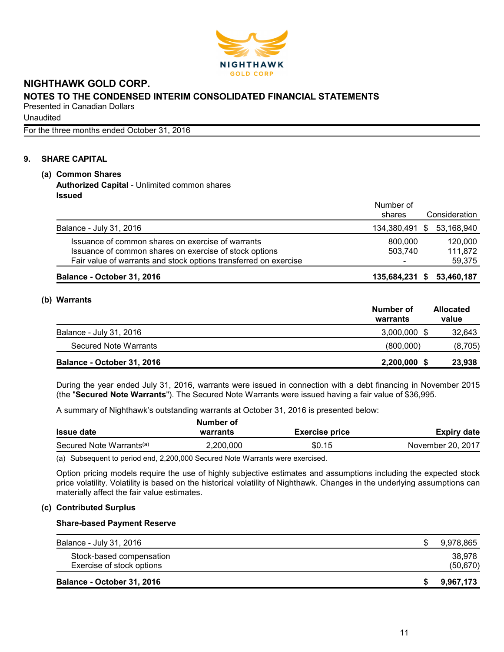

**Unaudited** 

For the three months ended October 31, 2016

# **9. SHARE CAPITAL**

# **(a) Common Shares Authorized Capital** - Unlimited common shares **Issued**

|                                                                                                                                                                                 | Number of<br>shares       | Consideration                |
|---------------------------------------------------------------------------------------------------------------------------------------------------------------------------------|---------------------------|------------------------------|
| Balance - July 31, 2016                                                                                                                                                         | 134,380,491 \$ 53,168,940 |                              |
| Issuance of common shares on exercise of warrants<br>Issuance of common shares on exercise of stock options<br>Fair value of warrants and stock options transferred on exercise | 800,000<br>503,740        | 120,000<br>111,872<br>59.375 |
| Balance - October 31, 2016                                                                                                                                                      | 135,684,231 \$ 53,460,187 |                              |

### **(b) Warrants**

|                            | Number of<br>warrants | <b>Allocated</b><br>value |
|----------------------------|-----------------------|---------------------------|
| Balance - July 31, 2016    | 3,000,000             | 32,643                    |
| Secured Note Warrants      | (800,000)             | (8,705)                   |
| Balance - October 31, 2016 | 2,200,000             | 23,938                    |

During the year ended July 31, 2016, warrants were issued in connection with a debt financing in November 2015 (the "**Secured Note Warrants**"). The Secured Note Warrants were issued having a fair value of \$36,995.

A summary of Nighthawk's outstanding warrants at October 31, 2016 is presented below:

| Number of |                       |                    |
|-----------|-----------------------|--------------------|
| warrants  | <b>Exercise price</b> | <b>Expiry date</b> |
| 2.200.000 | \$0.15                | November 20, 2017  |
|           |                       |                    |

(a) Subsequent to period end, 2,200,000 Secured Note Warrants were exercised.

Option pricing models require the use of highly subjective estimates and assumptions including the expected stock price volatility. Volatility is based on the historical volatility of Nighthawk. Changes in the underlying assumptions can materially affect the fair value estimates.

# **(c) Contributed Surplus**

#### **Share-based Payment Reserve**

| Balance - October 31, 2016                            | 9,967,173           |
|-------------------------------------------------------|---------------------|
| Stock-based compensation<br>Exercise of stock options | 38.978<br>(50, 670) |
| Balance - July 31, 2016                               | 9,978,865           |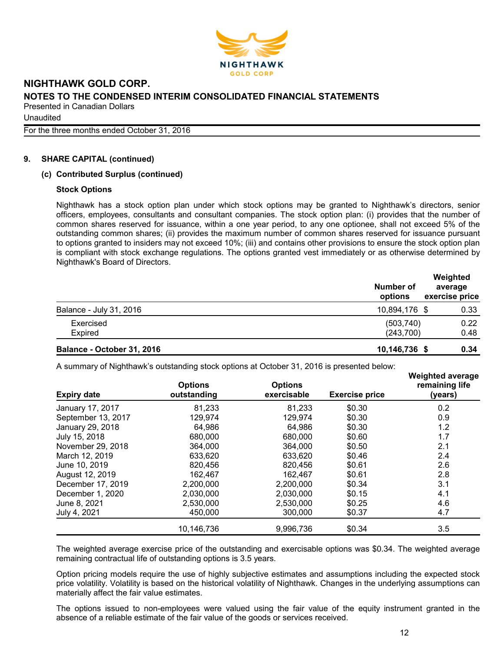

**Unaudited** 

For the three months ended October 31, 2016

### **9. SHARE CAPITAL (continued)**

### **(c) Contributed Surplus (continued)**

#### **Stock Options**

Nighthawk has a stock option plan under which stock options may be granted to Nighthawk's directors, senior officers, employees, consultants and consultant companies. The stock option plan: (i) provides that the number of common shares reserved for issuance, within a one year period, to any one optionee, shall not exceed 5% of the outstanding common shares; (ii) provides the maximum number of common shares reserved for issuance pursuant to options granted to insiders may not exceed 10%; (iii) and contains other provisions to ensure the stock option plan is compliant with stock exchange regulations. The options granted vest immediately or as otherwise determined by Nighthawk's Board of Directors.

|                            | Number of<br>options    | Weighted<br>average<br>exercise price |  |  |
|----------------------------|-------------------------|---------------------------------------|--|--|
| Balance - July 31, 2016    | 10,894,176 \$           | 0.33                                  |  |  |
| Exercised<br>Expired       | (503, 740)<br>(243,700) | 0.22<br>0.48                          |  |  |
| Balance - October 31, 2016 | 10,146,736 \$           | 0.34                                  |  |  |

A summary of Nighthawk's outstanding stock options at October 31, 2016 is presented below:

| <b>Expiry date</b> | <b>Options</b><br>outstanding | <b>Options</b><br>exercisable | <b>Exercise price</b> | <b>Weighted average</b><br>remaining life<br>(years) |
|--------------------|-------------------------------|-------------------------------|-----------------------|------------------------------------------------------|
| January 17, 2017   | 81,233                        | 81,233                        | \$0.30                | 0.2                                                  |
| September 13, 2017 | 129,974                       | 129,974                       | \$0.30                | 0.9                                                  |
| January 29, 2018   | 64,986                        | 64,986                        | \$0.30                | 1.2                                                  |
| July 15, 2018      | 680,000                       | 680,000                       | \$0.60                | 1.7                                                  |
| November 29, 2018  | 364,000                       | 364,000                       | \$0.50                | 2.1                                                  |
| March 12, 2019     | 633,620                       | 633,620                       | \$0.46                | 2.4                                                  |
| June 10, 2019      | 820,456                       | 820,456                       | \$0.61                | 2.6                                                  |
| August 12, 2019    | 162,467                       | 162.467                       | \$0.61                | 2.8                                                  |
| December 17, 2019  | 2,200,000                     | 2,200,000                     | \$0.34                | 3.1                                                  |
| December 1, 2020   | 2,030,000                     | 2,030,000                     | \$0.15                | 4.1                                                  |
| June 8, 2021       | 2,530,000                     | 2,530,000                     | \$0.25                | 4.6                                                  |
| July 4, 2021       | 450,000                       | 300,000                       | \$0.37                | 4.7                                                  |
|                    | 10,146,736                    | 9,996,736                     | \$0.34                | 3.5                                                  |

The weighted average exercise price of the outstanding and exercisable options was \$0.34. The weighted average remaining contractual life of outstanding options is 3.5 years.

Option pricing models require the use of highly subjective estimates and assumptions including the expected stock price volatility. Volatility is based on the historical volatility of Nighthawk. Changes in the underlying assumptions can materially affect the fair value estimates.

The options issued to non-employees were valued using the fair value of the equity instrument granted in the absence of a reliable estimate of the fair value of the goods or services received.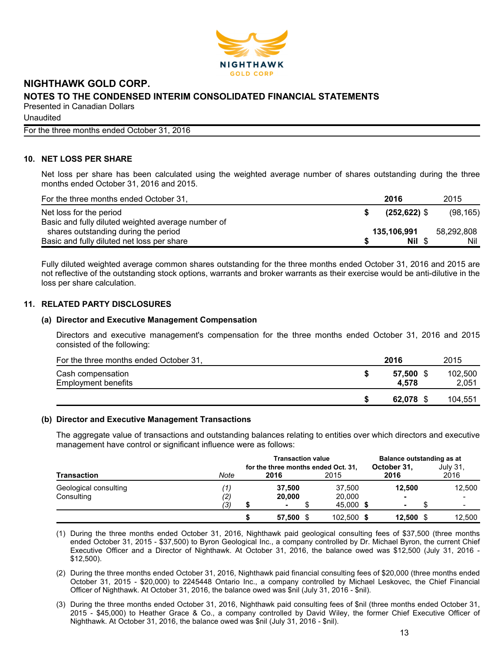

**Unaudited** 

For the three months ended October 31, 2016

# **10. NET LOSS PER SHARE**

Net loss per share has been calculated using the weighted average number of shares outstanding during the three months ended October 31, 2016 and 2015.

| For the three months ended October 31,             | 2016            | 2015       |
|----------------------------------------------------|-----------------|------------|
| Net loss for the period                            | $(252, 622)$ \$ | (98, 165)  |
| Basic and fully diluted weighted average number of |                 |            |
| shares outstanding during the period               | 135,106,991     | 58,292,808 |
| Basic and fully diluted net loss per share         | Nil \$          | Nil        |

Fully diluted weighted average common shares outstanding for the three months ended October 31, 2016 and 2015 are not reflective of the outstanding stock options, warrants and broker warrants as their exercise would be anti-dilutive in the loss per share calculation.

### **11. RELATED PARTY DISCLOSURES**

#### **(a) Director and Executive Management Compensation**

Directors and executive management's compensation for the three months ended October 31, 2016 and 2015 consisted of the following:

| For the three months ended October 31,          | 2016            | 2015             |
|-------------------------------------------------|-----------------|------------------|
| Cash compensation<br><b>Employment benefits</b> | 57.500<br>4.578 | 102.500<br>2,051 |
|                                                 | 62.078          | 104,551          |

#### **(b) Director and Executive Management Transactions**

The aggregate value of transactions and outstanding balances relating to entities over which directors and executive management have control or significant influence were as follows:

|                       |      | <b>Transaction value</b> |                                             |  |            |  |                          | Balance outstanding as at |                  |
|-----------------------|------|--------------------------|---------------------------------------------|--|------------|--|--------------------------|---------------------------|------------------|
| <b>Transaction</b>    | Note |                          | for the three months ended Oct. 31,<br>2016 |  | 2015       |  | October 31.<br>2016      |                           | July 31,<br>2016 |
| Geological consulting | 11,  |                          | 37.500                                      |  | 37,500     |  | 12,500                   |                           | 12,500           |
| Consulting            | (2)  |                          | 20,000                                      |  | 20,000     |  | $\overline{\phantom{0}}$ |                           | -                |
|                       | (3)  |                          |                                             |  | 45,000 \$  |  |                          |                           |                  |
|                       |      |                          | 57,500 \$                                   |  | 102,500 \$ |  | 12.500                   |                           | 12.500           |

(1) During the three months ended October 31, 2016, Nighthawk paid geological consulting fees of \$37,500 (three months ended October 31, 2015 - \$37,500) to Byron Geological Inc., a company controlled by Dr. Michael Byron, the current Chief Executive Officer and a Director of Nighthawk. At October 31, 2016, the balance owed was \$12,500 (July 31, 2016 - \$12,500).

(2) During the three months ended October 31, 2016, Nighthawk paid financial consulting fees of \$20,000 (three months ended October 31, 2015 - \$20,000) to 2245448 Ontario Inc., a company controlled by Michael Leskovec, the Chief Financial Officer of Nighthawk. At October 31, 2016, the balance owed was \$nil (July 31, 2016 - \$nil).

(3) During the three months ended October 31, 2016, Nighthawk paid consulting fees of \$nil (three months ended October 31, 2015 - \$45,000) to Heather Grace & Co., a company controlled by David Wiley, the former Chief Executive Officer of Nighthawk. At October 31, 2016, the balance owed was \$nil (July 31, 2016 - \$nil).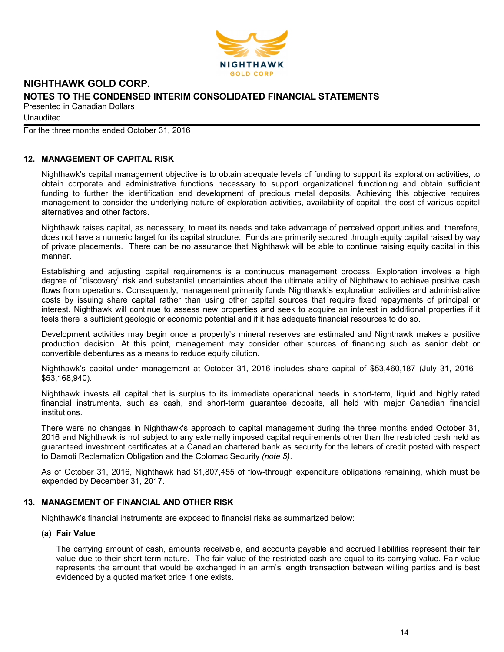

**Unaudited** 

For the three months ended October 31, 2016

# **12. MANAGEMENT OF CAPITAL RISK**

Nighthawk's capital management objective is to obtain adequate levels of funding to support its exploration activities, to obtain corporate and administrative functions necessary to support organizational functioning and obtain sufficient funding to further the identification and development of precious metal deposits. Achieving this objective requires management to consider the underlying nature of exploration activities, availability of capital, the cost of various capital alternatives and other factors.

Nighthawk raises capital, as necessary, to meet its needs and take advantage of perceived opportunities and, therefore, does not have a numeric target for its capital structure. Funds are primarily secured through equity capital raised by way of private placements. There can be no assurance that Nighthawk will be able to continue raising equity capital in this manner.

Establishing and adjusting capital requirements is a continuous management process. Exploration involves a high degree of "discovery" risk and substantial uncertainties about the ultimate ability of Nighthawk to achieve positive cash flows from operations. Consequently, management primarily funds Nighthawk's exploration activities and administrative costs by issuing share capital rather than using other capital sources that require fixed repayments of principal or interest. Nighthawk will continue to assess new properties and seek to acquire an interest in additional properties if it feels there is sufficient geologic or economic potential and if it has adequate financial resources to do so.

Development activities may begin once a property's mineral reserves are estimated and Nighthawk makes a positive production decision. At this point, management may consider other sources of financing such as senior debt or convertible debentures as a means to reduce equity dilution.

Nighthawk's capital under management at October 31, 2016 includes share capital of \$53,460,187 (July 31, 2016 - \$53,168,940).

Nighthawk invests all capital that is surplus to its immediate operational needs in short-term, liquid and highly rated financial instruments, such as cash, and short-term guarantee deposits, all held with major Canadian financial institutions.

There were no changes in Nighthawk's approach to capital management during the three months ended October 31, 2016 and Nighthawk is not subject to any externally imposed capital requirements other than the restricted cash held as guaranteed investment certificates at a Canadian chartered bank as security for the letters of credit posted with respect to Damoti Reclamation Obligation and the Colomac Security *(note 5)*.

As of October 31, 2016, Nighthawk had \$1,807,455 of flow-through expenditure obligations remaining, which must be expended by December 31, 2017.

#### **13. MANAGEMENT OF FINANCIAL AND OTHER RISK**

Nighthawk's financial instruments are exposed to financial risks as summarized below:

### **(a) Fair Value**

The carrying amount of cash, amounts receivable, and accounts payable and accrued liabilities represent their fair value due to their short-term nature. The fair value of the restricted cash are equal to its carrying value. Fair value represents the amount that would be exchanged in an arm's length transaction between willing parties and is best evidenced by a quoted market price if one exists.